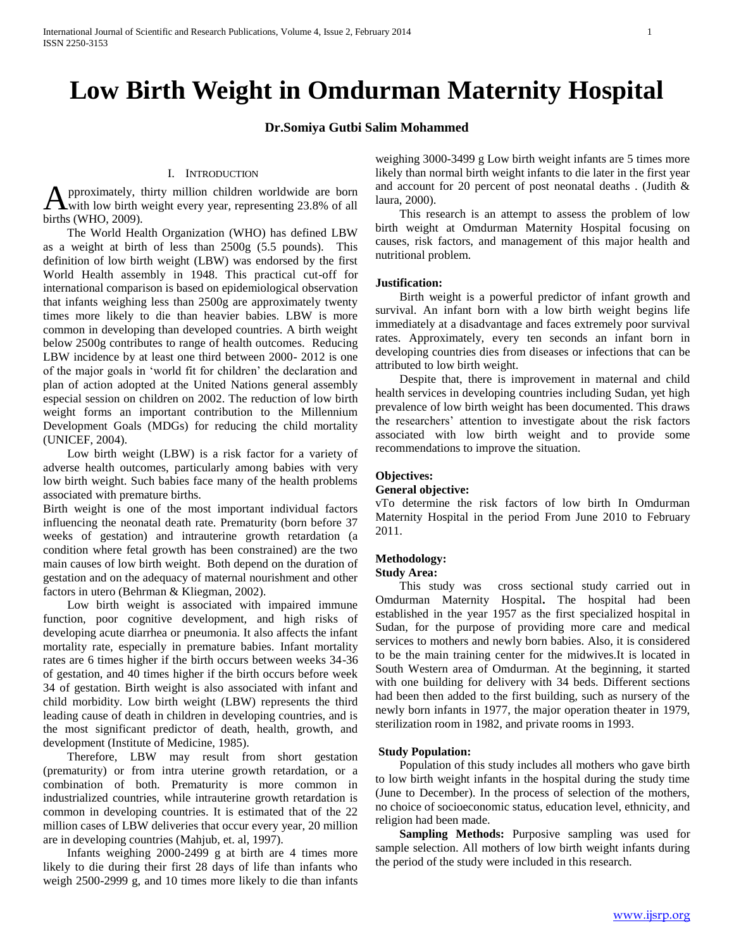# **Low Birth Weight in Omdurman Maternity Hospital**

## **Dr.Somiya Gutbi Salim Mohammed**

#### I. INTRODUCTION

pproximately, thirty million children worldwide are born **A** pproximately, thirty million children worldwide are born<br>with low birth weight every year, representing 23.8% of all births (WHO, 2009).

 The World Health Organization (WHO) has defined LBW as a weight at birth of less than 2500g (5.5 pounds). This definition of low birth weight (LBW) was endorsed by the first World Health assembly in 1948. This practical cut-off for international comparison is based on epidemiological observation that infants weighing less than 2500g are approximately twenty times more likely to die than heavier babies. LBW is more common in developing than developed countries. A birth weight below 2500g contributes to range of health outcomes. Reducing LBW incidence by at least one third between 2000- 2012 is one of the major goals in 'world fit for children' the declaration and plan of action adopted at the United Nations general assembly especial session on children on 2002. The reduction of low birth weight forms an important contribution to the Millennium Development Goals (MDGs) for reducing the child mortality (UNICEF, 2004).

 Low birth weight (LBW) is a risk factor for a variety of adverse health outcomes, particularly among babies with very low birth weight. Such babies face many of the health problems associated with premature births.

Birth weight is one of the most important individual factors influencing the neonatal death rate. Prematurity (born before 37 weeks of gestation) and intrauterine growth retardation (a condition where fetal growth has been constrained) are the two main causes of low birth weight. Both depend on the duration of gestation and on the adequacy of maternal nourishment and other factors in utero (Behrman & Kliegman, 2002).

 Low birth weight is associated with impaired immune function, poor cognitive development, and high risks of developing acute diarrhea or pneumonia. It also affects the infant mortality rate, especially in premature babies. Infant mortality rates are 6 times higher if the birth occurs between weeks 34-36 of gestation, and 40 times higher if the birth occurs before week 34 of gestation. Birth weight is also associated with infant and child morbidity. Low birth weight (LBW) represents the third leading cause of death in children in developing countries, and is the most significant predictor of death, health, growth, and development (Institute of Medicine, 1985).

 Therefore, LBW may result from short gestation (prematurity) or from intra uterine growth retardation, or a combination of both. Prematurity is more common in industrialized countries, while intrauterine growth retardation is common in developing countries. It is estimated that of the 22 million cases of LBW deliveries that occur every year, 20 million are in developing countries (Mahjub, et. al, 1997).

 Infants weighing 2000-2499 g at birth are 4 times more likely to die during their first 28 days of life than infants who weigh 2500-2999 g, and 10 times more likely to die than infants weighing 3000-3499 g Low birth weight infants are 5 times more likely than normal birth weight infants to die later in the first year and account for 20 percent of post neonatal deaths . (Judith & laura, 2000).

 This research is an attempt to assess the problem of low birth weight at Omdurman Maternity Hospital focusing on causes, risk factors, and management of this major health and nutritional problem.

#### **Justification:**

 Birth weight is a powerful predictor of infant growth and survival. An infant born with a low birth weight begins life immediately at a disadvantage and faces extremely poor survival rates. Approximately, every ten seconds an infant born in developing countries dies from diseases or infections that can be attributed to low birth weight.

 Despite that, there is improvement in maternal and child health services in developing countries including Sudan, yet high prevalence of low birth weight has been documented. This draws the researchers' attention to investigate about the risk factors associated with low birth weight and to provide some recommendations to improve the situation.

#### **Objectives:**

#### **General objective:**

vTo determine the risk factors of low birth In Omdurman Maternity Hospital in the period From June 2010 to February 2011.

#### **Methodology:**

#### **Study Area:**

 This study was cross sectional study carried out in Omdurman Maternity Hospital**.** The hospital had been established in the year 1957 as the first specialized hospital in Sudan, for the purpose of providing more care and medical services to mothers and newly born babies. Also, it is considered to be the main training center for the midwives.It is located in South Western area of Omdurman. At the beginning, it started with one building for delivery with 34 beds. Different sections had been then added to the first building, such as nursery of the newly born infants in 1977, the major operation theater in 1979, sterilization room in 1982, and private rooms in 1993.

#### **Study Population:**

 Population of this study includes all mothers who gave birth to low birth weight infants in the hospital during the study time (June to December). In the process of selection of the mothers, no choice of socioeconomic status, education level, ethnicity, and religion had been made.

 **Sampling Methods:** Purposive sampling was used for sample selection. All mothers of low birth weight infants during the period of the study were included in this research.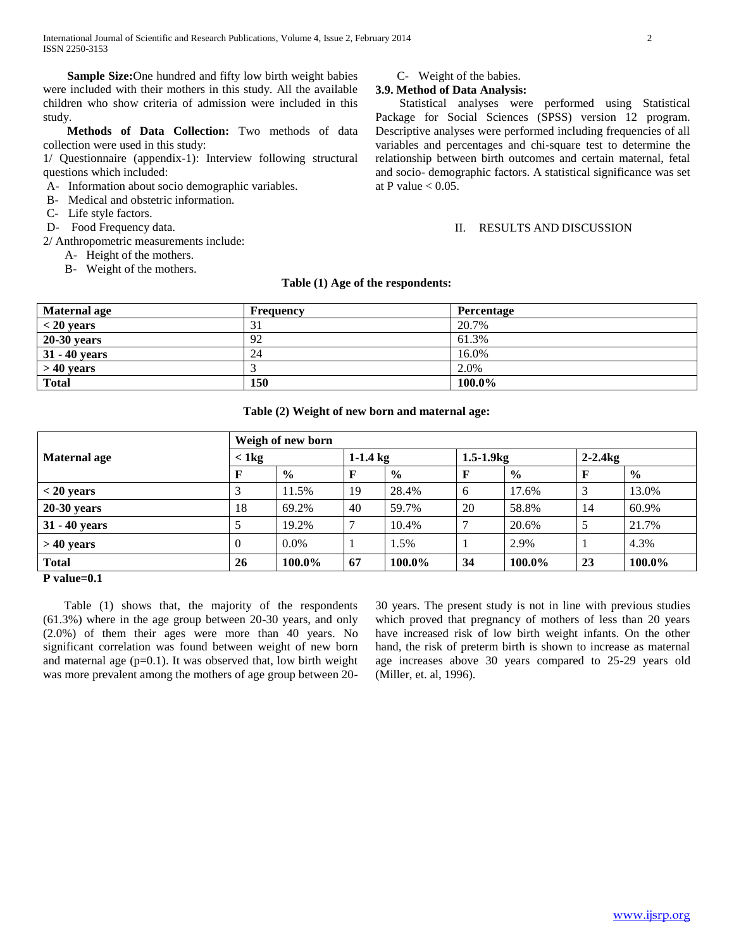**Sample Size:**One hundred and fifty low birth weight babies were included with their mothers in this study. All the available children who show criteria of admission were included in this study.

 **Methods of Data Collection:** Two methods of data collection were used in this study:

1/ Questionnaire (appendix-1): Interview following structural questions which included:

- A- Information about socio demographic variables.
- B- Medical and obstetric information.
- C- Life style factors.
- D- Food Frequency data.

2/ Anthropometric measurements include:

- A- Height of the mothers.
- B- Weight of the mothers.

C- Weight of the babies.

# **3.9. Method of Data Analysis:**

 Statistical analyses were performed using Statistical Package for Social Sciences (SPSS) version 12 program. Descriptive analyses were performed including frequencies of all variables and percentages and chi-square test to determine the relationship between birth outcomes and certain maternal, fetal and socio- demographic factors. A statistical significance was set at P value  $< 0.05$ .

#### II. RESULTS AND DISCUSSION

#### **Table (1) Age of the respondents:**

| Maternal age    | <b>Frequency</b>    | Percentage |
|-----------------|---------------------|------------|
| $<$ 20 years    | $\mathcal{L}$<br>31 | 20.7%      |
| $20-30$ years   | 92                  | 61.3%      |
| $31 - 40$ years | 24                  | 16.0%      |
| $>40$ years     |                     | 2.0%       |
| <b>Total</b>    | 150                 | 100.0%     |

### **Table (2) Weight of new born and maternal age:**

| Weigh of new born                                          |                |               |            |               |                |               |            |               |
|------------------------------------------------------------|----------------|---------------|------------|---------------|----------------|---------------|------------|---------------|
| <b>Maternal age</b>                                        | $<$ 1 kg       |               | $1-1.4$ kg |               | $1.5 - 1.9$ kg |               | $2-2.4$ kg |               |
|                                                            |                | $\frac{6}{9}$ | F          | $\frac{6}{9}$ | F              | $\frac{0}{0}$ |            | $\frac{0}{0}$ |
| $<$ 20 years                                               | 3              | 11.5%         | 19         | 28.4%         | 6              | 17.6%         |            | 13.0%         |
| $20-30$ years                                              | 18             | 69.2%         | 40         | 59.7%         | 20             | 58.8%         | 14         | 60.9%         |
| $31 - 40$ years                                            | 5              | 19.2%         |            | 10.4%         | ⇁              | 20.6%         | 5          | 21.7%         |
| $>40$ years                                                | $\overline{0}$ | 0.0%          |            | 1.5%          |                | 2.9%          |            | 4.3%          |
| <b>Total</b><br>$\mathbf{r}$ $\mathbf{r}$<br>$\sim$ $\sim$ | 26             | 100.0%        | 67         | 100.0%        | 34             | 100.0%        | 23         | 100.0%        |

**P value=0.1**

 Table (1) shows that, the majority of the respondents (61.3%) where in the age group between 20-30 years, and only (2.0%) of them their ages were more than 40 years. No significant correlation was found between weight of new born and maternal age  $(p=0.1)$ . It was observed that, low birth weight was more prevalent among the mothers of age group between 2030 years. The present study is not in line with previous studies which proved that pregnancy of mothers of less than 20 years have increased risk of low birth weight infants. On the other hand, the risk of preterm birth is shown to increase as maternal age increases above 30 years compared to 25-29 years old (Miller, et. al, 1996).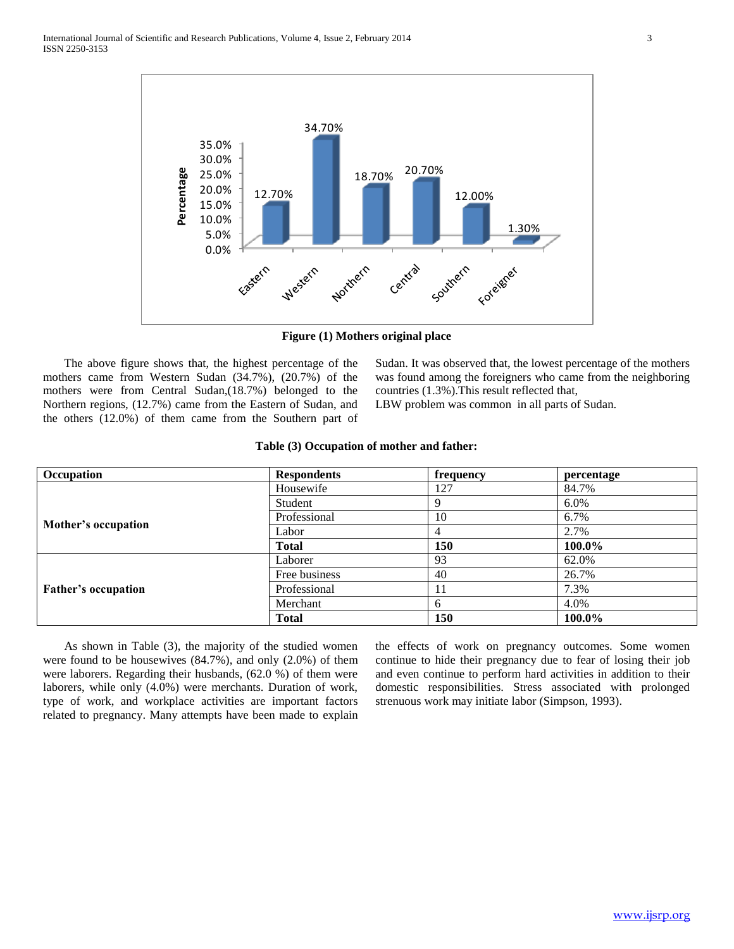

**Figure (1) Mothers original place**

 The above figure shows that, the highest percentage of the mothers came from Western Sudan (34.7%), (20.7%) of the mothers were from Central Sudan,(18.7%) belonged to the Northern regions, (12.7%) came from the Eastern of Sudan, and the others (12.0%) of them came from the Southern part of Sudan. It was observed that, the lowest percentage of the mothers was found among the foreigners who came from the neighboring countries (1.3%).This result reflected that,

LBW problem was common in all parts of Sudan.

| Occupation                 | <b>Respondents</b> | frequency | percentage |
|----------------------------|--------------------|-----------|------------|
|                            | Housewife          | 127       | 84.7%      |
|                            | Student            |           | 6.0%       |
| Mother's occupation        | Professional       | 10        | 6.7%       |
|                            | Labor              | 4         | 2.7%       |
|                            | <b>Total</b>       | 150       | 100.0%     |
|                            | Laborer            | 93        | 62.0%      |
| <b>Father's occupation</b> | Free business      | 40        | 26.7%      |
|                            | Professional       | 11        | 7.3%       |
|                            | Merchant           | 6         | 4.0%       |
|                            | <b>Total</b>       | 150       | 100.0%     |

# **Table (3) Occupation of mother and father:**

 As shown in Table (3), the majority of the studied women were found to be housewives (84.7%), and only (2.0%) of them were laborers. Regarding their husbands, (62.0 %) of them were laborers, while only (4.0%) were merchants. Duration of work, type of work, and workplace activities are important factors related to pregnancy. Many attempts have been made to explain the effects of work on pregnancy outcomes. Some women continue to hide their pregnancy due to fear of losing their job and even continue to perform hard activities in addition to their domestic responsibilities. Stress associated with prolonged strenuous work may initiate labor (Simpson, 1993).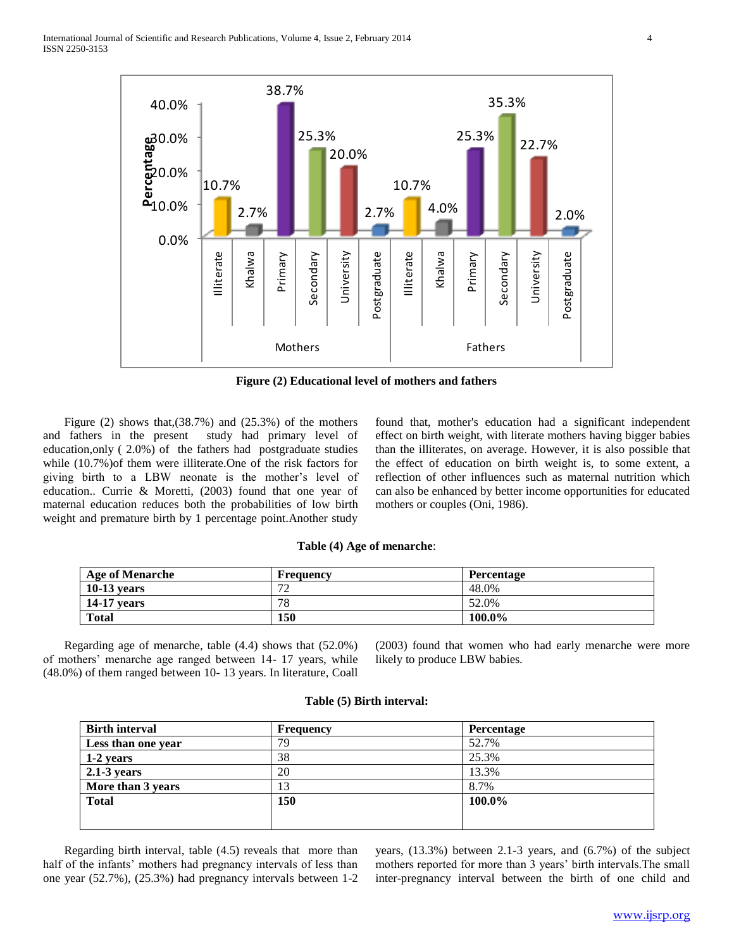

**Figure (2) Educational level of mothers and fathers**

Figure  $(2)$  shows that, $(38.7%)$  and  $(25.3%)$  of the mothers and fathers in the present study had primary level of education,only ( 2.0%) of the fathers had postgraduate studies while (10.7%)of them were illiterate.One of the risk factors for giving birth to a LBW neonate is the mother's level of education.. Currie & Moretti, (2003) found that one year of maternal education reduces both the probabilities of low birth weight and premature birth by 1 percentage point.Another study

found that, mother's education had a significant independent effect on birth weight, with literate mothers having bigger babies than the illiterates, on average. However, it is also possible that the effect of education on birth weight is, to some extent, a reflection of other influences such as maternal nutrition which can also be enhanced by better income opportunities for educated mothers or couples (Oni, 1986).

#### **Table (4) Age of menarche**:

| <b>Age of Menarche</b> | <b>Frequency</b>              | <b>Percentage</b> |
|------------------------|-------------------------------|-------------------|
| $10-13$ vears          | $\overline{\phantom{a}}$<br>∼ | 48.0%             |
| $14-17$ vears          | 78                            | 52.0%             |
| <b>Total</b>           | 150                           | 100.0%            |

 Regarding age of menarche, table (4.4) shows that (52.0%) of mothers' menarche age ranged between 14- 17 years, while (48.0%) of them ranged between 10- 13 years. In literature, Coall

(2003) found that women who had early menarche were more likely to produce LBW babies.

# **Birth interval Percentage Percentage Percentage Less than one year** 79 52.7% **1-2 years** 38 25.3% **2.1-3 years** 20 13.3% **More than 3 years** 13 8.7% **Total 150 100.0%**

**Table (5) Birth interval:**

 Regarding birth interval, table (4.5) reveals that more than half of the infants' mothers had pregnancy intervals of less than one year (52.7%), (25.3%) had pregnancy intervals between 1-2 years, (13.3%) between 2.1-3 years, and (6.7%) of the subject mothers reported for more than 3 years' birth intervals.The small inter-pregnancy interval between the birth of one child and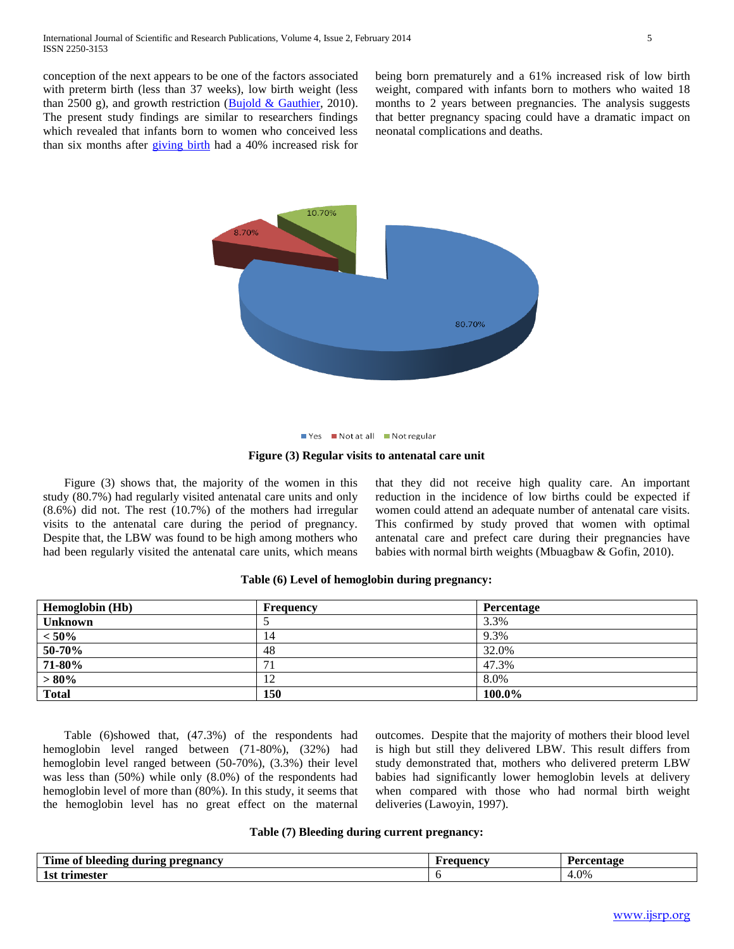conception of the next appears to be one of the factors associated with preterm birth (less than 37 weeks), low birth weight (less than 2500 g), and growth restriction [\(Bujold & Gauthier,](http://www.uptodate.com/contents/interpregnancy-interval-and-pregnancy-outcome/abstract/22) 2010). The present study findings are similar to researchers findings which revealed that infants born to women who conceived less than six months after [giving birth](http://www.webmd.com/baby/guide/delivery-methods) had a 40% increased risk for

being born prematurely and a 61% increased risk of low birth weight, compared with infants born to mothers who waited 18 months to 2 years between pregnancies. The analysis suggests that better pregnancy spacing could have a dramatic impact on neonatal complications and deaths.



#### ■ Yes ■ Not at all ■ Not regular

#### **Figure (3) Regular visits to antenatal care unit**

 Figure (3) shows that, the majority of the women in this study (80.7%) had regularly visited antenatal care units and only (8.6%) did not. The rest (10.7%) of the mothers had irregular visits to the antenatal care during the period of pregnancy. Despite that, the LBW was found to be high among mothers who had been regularly visited the antenatal care units, which means

that they did not receive high quality care. An important reduction in the incidence of low births could be expected if women could attend an adequate number of antenatal care visits. This confirmed by study proved that women with optimal antenatal care and prefect care during their pregnancies have babies with normal birth weights (Mbuagbaw & Gofin, 2010).

| <b>Hemoglobin</b> (Hb) | Frequency | Percentage |
|------------------------|-----------|------------|
| <b>Unknown</b>         |           | 3.3%       |
| $< 50\%$               | 14        | 9.3%       |
| 50-70%                 | 48        | 32.0%      |
| 71-80%                 | 71        | 47.3%      |
| $> 80\%$               | 12        | 8.0%       |
| <b>Total</b>           | 150       | 100.0%     |

# **Table (6) Level of hemoglobin during pregnancy:**

 Table (6)showed that, (47.3%) of the respondents had hemoglobin level ranged between (71-80%), (32%) had hemoglobin level ranged between (50-70%), (3.3%) their level was less than (50%) while only (8.0%) of the respondents had hemoglobin level of more than (80%). In this study, it seems that the hemoglobin level has no great effect on the maternal

outcomes. Despite that the majority of mothers their blood level is high but still they delivered LBW. This result differs from study demonstrated that, mothers who delivered preterm LBW babies had significantly lower hemoglobin levels at delivery when compared with those who had normal birth weight deliveries (Lawoyin, 1997).

#### **Table (7) Bleeding during current pregnancy:**

| rane.<br>011<br><u>z</u> during pregnancy<br>. bleeding<br>\ime of | F requency | Percentage |
|--------------------------------------------------------------------|------------|------------|
| $\sim$<br>trimester<br>- 91                                        |            | 4.0%       |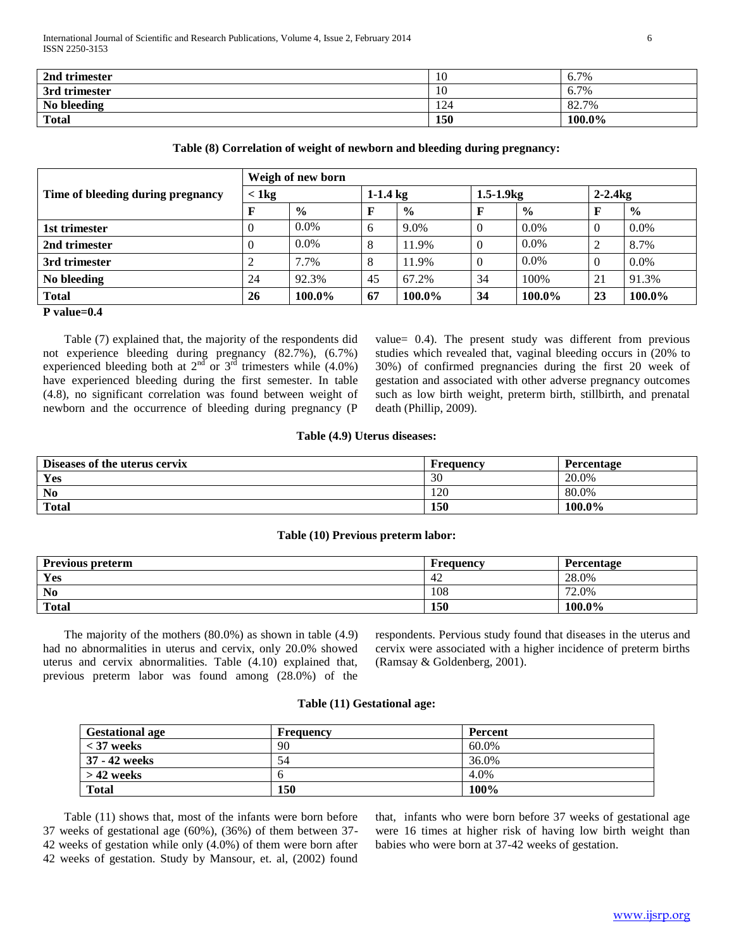| 2nd trimester | 10  | 6.7%   |
|---------------|-----|--------|
| 3rd trimester | 10  | 6.7%   |
| No bleeding   | 124 | 82.7%  |
| <b>Total</b>  | 150 | 100.0% |

### **Table (8) Correlation of weight of newborn and bleeding during pregnancy:**

|                                   | Weigh of new born |               |              |               |              |                  |          |               |
|-----------------------------------|-------------------|---------------|--------------|---------------|--------------|------------------|----------|---------------|
| Time of bleeding during pregnancy | $<$ 1 kg          |               |              | $1 - 1.4$ kg  |              | $1.5 - 1.9$ $kg$ |          | $2-2.4$ kg    |
|                                   | F                 | $\frac{6}{6}$ | F            | $\frac{0}{0}$ | $\mathbf{F}$ | $\frac{6}{6}$    |          | $\frac{6}{9}$ |
| 1st trimester                     | v                 | $0.0\%$       | <sub>6</sub> | 9.0%          | $\theta$     | $0.0\%$          | 0        | $0.0\%$       |
| 2nd trimester                     | U                 | $0.0\%$       | 8            | 11.9%         | $\theta$     | $0.0\%$          | ∠        | 8.7%          |
| 3rd trimester                     |                   | 7.7%          | 8            | 11.9%         | $\Omega$     | $0.0\%$          | $\theta$ | $0.0\%$       |
| No bleeding                       | 24                | 92.3%         | 45           | 67.2%         | 34           | 100%             | 21       | 91.3%         |
| <b>Total</b>                      | 26                | 100.0%        | 67           | 100.0%        | 34           | 100.0%           | 23       | 100.0%        |
| P value= $0.4$                    |                   |               |              |               |              |                  |          |               |

 Table (7) explained that, the majority of the respondents did not experience bleeding during pregnancy (82.7%), (6.7%) experienced bleeding both at  $2<sup>nd</sup>$  or  $3<sup>rd</sup>$  trimesters while (4.0%) have experienced bleeding during the first semester. In table (4.8), no significant correlation was found between weight of newborn and the occurrence of bleeding during pregnancy (P

value= 0.4). The present study was different from previous studies which revealed that, vaginal bleeding occurs in (20% to 30%) of confirmed pregnancies during the first 20 week of gestation and associated with other adverse pregnancy outcomes such as low birth weight, preterm birth, stillbirth, and prenatal death (Phillip, 2009).

#### **Table (4.9) Uterus diseases:**

| Diseases of the uterus cervix | Frequency | Percentage |
|-------------------------------|-----------|------------|
| Yes                           | 30        | 20.0%      |
| N <sub>0</sub>                | 120       | 80.0%      |
| <b>Total</b>                  | 150       | 100.0%     |

#### **Table (10) Previous preterm labor:**

| <b>Previous preterm</b> | Frequency | <b>Percentage</b> |
|-------------------------|-----------|-------------------|
| Yes                     | -42       | 28.0%             |
| N <sub>0</sub>          | 108       | 72.0%             |
| <b>Total</b>            | 150       | $100.0\%$         |

 The majority of the mothers (80.0%) as shown in table (4.9) had no abnormalities in uterus and cervix, only 20.0% showed uterus and cervix abnormalities. Table (4.10) explained that, previous preterm labor was found among (28.0%) of the respondents. Pervious study found that diseases in the uterus and cervix were associated with a higher incidence of preterm births (Ramsay & Goldenberg, 2001).

#### **Table (11) Gestational age:**

| <b>Gestational age</b> | <b>Frequency</b> | Percent |
|------------------------|------------------|---------|
| $<$ 37 weeks           | 90               | 60.0%   |
| 37 - 42 weeks          | 54               | 36.0%   |
| $>$ 42 weeks           |                  | 4.0%    |
| <b>Total</b>           | 150              | 100%    |

 Table (11) shows that, most of the infants were born before 37 weeks of gestational age (60%), (36%) of them between 37- 42 weeks of gestation while only (4.0%) of them were born after 42 weeks of gestation. Study by Mansour, et. al, (2002) found

that, infants who were born before 37 weeks of gestational age were 16 times at higher risk of having low birth weight than babies who were born at 37-42 weeks of gestation.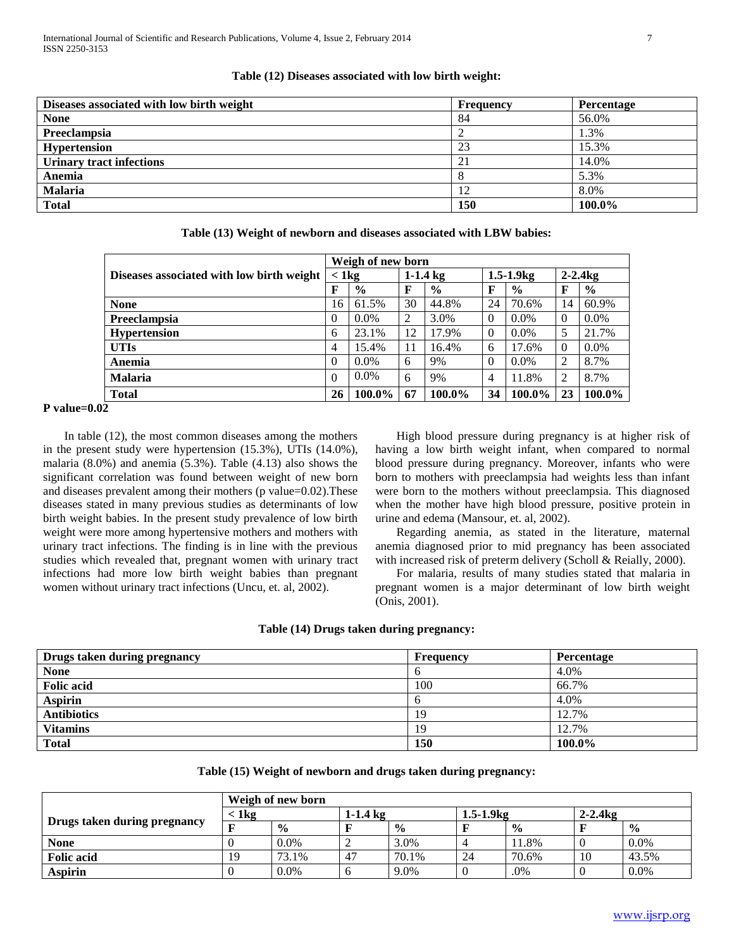| Diseases associated with low birth weight | Frequency  | Percentage |
|-------------------------------------------|------------|------------|
| <b>None</b>                               | 84         | 56.0%      |
| Preeclampsia                              |            | 1.3%       |
| <b>Hypertension</b>                       | 23         | 15.3%      |
| <b>Urinary tract infections</b>           | 21         | 14.0%      |
| Anemia                                    |            | 5.3%       |
| <b>Malaria</b>                            | 12         | 8.0%       |
| <b>Total</b>                              | <b>150</b> | 100.0%     |

#### **Table (12) Diseases associated with low birth weight:**

|                                           | Weigh of new born |               |            |               |                  |               |                |               |  |
|-------------------------------------------|-------------------|---------------|------------|---------------|------------------|---------------|----------------|---------------|--|
| Diseases associated with low birth weight | $<$ 1 kg          |               | $1-1.4$ kg |               | $1.5 - 1.9$ $kg$ |               | $2 - 2.4$ kg   |               |  |
|                                           | F                 | $\frac{6}{9}$ | F          | $\frac{6}{9}$ | F                | $\frac{0}{0}$ | F              | $\frac{6}{9}$ |  |
| <b>None</b>                               | 16                | 61.5%         | 30         | 44.8%         | 24               | 70.6%         | 14             | 60.9%         |  |
| Preeclampsia                              | $\Omega$          | $0.0\%$       | ↑          | 3.0%          | $\theta$         | $0.0\%$       | $\Omega$       | $0.0\%$       |  |
| <b>Hypertension</b>                       | 6                 | 23.1%         | 12         | 17.9%         | $\Omega$         | $0.0\%$       | 5              | 21.7%         |  |
| <b>UTIs</b>                               | $\overline{4}$    | 15.4%         | 11         | 16.4%         | 6                | 17.6%         | $\Omega$       | $0.0\%$       |  |
| Anemia                                    | $\Omega$          | $0.0\%$       | 6          | 9%            | $\Omega$         | $0.0\%$       | 2              | 8.7%          |  |
| <b>Malaria</b>                            | $\Omega$          | $0.0\%$       | 6          | 9%            | $\overline{4}$   | 11.8%         | $\overline{c}$ | 8.7%          |  |
| <b>Total</b>                              | 26                | 100.0%        | 67         | 100.0%        | 34               | 100.0%        | 23             | 100.0%        |  |

#### **Table (13) Weight of newborn and diseases associated with LBW babies:**

# **P value=0.02**

 In table (12), the most common diseases among the mothers in the present study were hypertension (15.3%), UTIs (14.0%), malaria (8.0%) and anemia (5.3%). Table (4.13) also shows the significant correlation was found between weight of new born and diseases prevalent among their mothers (p value=0.02).These diseases stated in many previous studies as determinants of low birth weight babies. In the present study prevalence of low birth weight were more among hypertensive mothers and mothers with urinary tract infections. The finding is in line with the previous studies which revealed that, pregnant women with urinary tract infections had more low birth weight babies than pregnant women without urinary tract infections (Uncu, et. al, 2002).

 High blood pressure during pregnancy is at higher risk of having a low birth weight infant, when compared to normal blood pressure during pregnancy. Moreover, infants who were born to mothers with preeclampsia had weights less than infant were born to the mothers without preeclampsia. This diagnosed when the mother have high blood pressure, positive protein in urine and edema (Mansour, et. al, 2002).

 Regarding anemia, as stated in the literature, maternal anemia diagnosed prior to mid pregnancy has been associated with increased risk of preterm delivery (Scholl & Reially, 2000).

 For malaria, results of many studies stated that malaria in pregnant women is a major determinant of low birth weight (Onis, 2001).

#### **Table (14) Drugs taken during pregnancy:**

| Drugs taken during pregnancy | Frequency | <b>Percentage</b> |
|------------------------------|-----------|-------------------|
| <b>None</b>                  | O         | 4.0%              |
| <b>Folic acid</b>            | 100       | 66.7%             |
| <b>Aspirin</b>               | O         | 4.0%              |
| <b>Antibiotics</b>           | 19        | 12.7%             |
| <b>Vitamins</b>              | 19        | 12.7%             |
| <b>Total</b>                 | 150       | 100.0%            |

|  |  | Table (15) Weight of newborn and drugs taken during pregnancy: |
|--|--|----------------------------------------------------------------|
|  |  |                                                                |

|                              |          | Weigh of new born |            |               |                |               |              |               |  |
|------------------------------|----------|-------------------|------------|---------------|----------------|---------------|--------------|---------------|--|
|                              | $< 1$ kg |                   | $1-1.4$ kg |               | $1.5 - 1.9$ kg |               | $2 - 2.4$ kg |               |  |
| Drugs taken during pregnancy |          | $\frac{0}{0}$     |            | $\frac{0}{0}$ |                | $\frac{0}{0}$ |              | $\frac{6}{6}$ |  |
| <b>None</b>                  |          | $0.0\%$           |            | 3.0%          |                | 11.8%         |              | $0.0\%$       |  |
| <b>Folic acid</b>            | 19       | 73.1%             | -47        | 70.1%         | 24             | 70.6%         | 10           | 43.5%         |  |
| <b>Aspirin</b>               |          | 0.0%              |            | 9.0%          |                | .0%           |              | $0.0\%$       |  |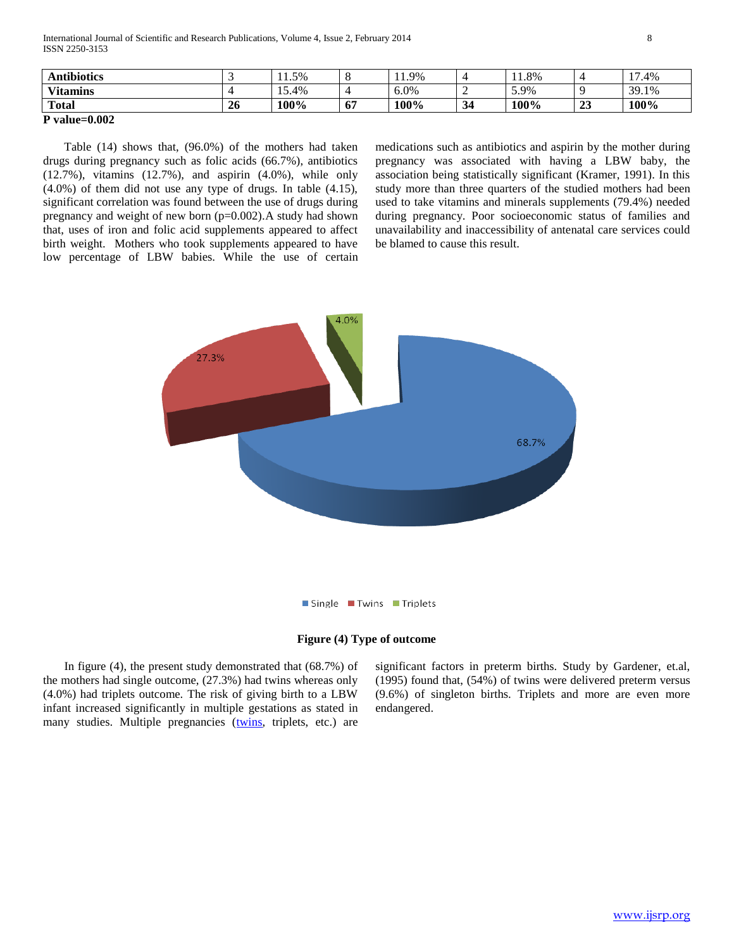International Journal of Scientific and Research Publications, Volume 4, Issue 2, February 2014 8 ISSN 2250-3153

| <b>Antibiotics</b> |    | $.1.5\%$                          |    | 1.9%    |      | 1.8% |                    | 1 <sub>7</sub><br>.4% |
|--------------------|----|-----------------------------------|----|---------|------|------|--------------------|-----------------------|
| <b>Vitamins</b>    |    | $\overline{\phantom{0}}$<br>15.4% |    | $0.0\%$ |      | 5.9% |                    | 39.1%                 |
| <b>Total</b>       | 26 | 100%                              | 67 | 100%    | - 34 | 100% | $2^{\circ}$<br>لەك | 100%                  |

**P value=0.002**

 Table (14) shows that, (96.0%) of the mothers had taken drugs during pregnancy such as folic acids (66.7%), antibiotics (12.7%), vitamins (12.7%), and aspirin (4.0%), while only (4.0%) of them did not use any type of drugs. In table (4.15), significant correlation was found between the use of drugs during pregnancy and weight of new born (p=0.002).A study had shown that, uses of iron and folic acid supplements appeared to affect birth weight. Mothers who took supplements appeared to have low percentage of LBW babies. While the use of certain

medications such as antibiotics and aspirin by the mother during pregnancy was associated with having a LBW baby, the association being statistically significant (Kramer, 1991). In this study more than three quarters of the studied mothers had been used to take vitamins and minerals supplements (79.4%) needed during pregnancy. Poor socioeconomic status of families and unavailability and inaccessibility of antenatal care services could be blamed to cause this result.





 In figure (4), the present study demonstrated that (68.7%) of the mothers had single outcome, (27.3%) had twins whereas only (4.0%) had triplets outcome. The risk of giving birth to a LBW infant increased significantly in multiple gestations as stated in many studies. Multiple pregnancies [\(twins,](http://en.wikipedia.org/wiki/Twins) triplets, etc.) are

significant factors in preterm births. Study by Gardener, et.al, (1995) found that, (54%) of twins were delivered preterm versus (9.6%) of singleton births. Triplets and more are even more endangered.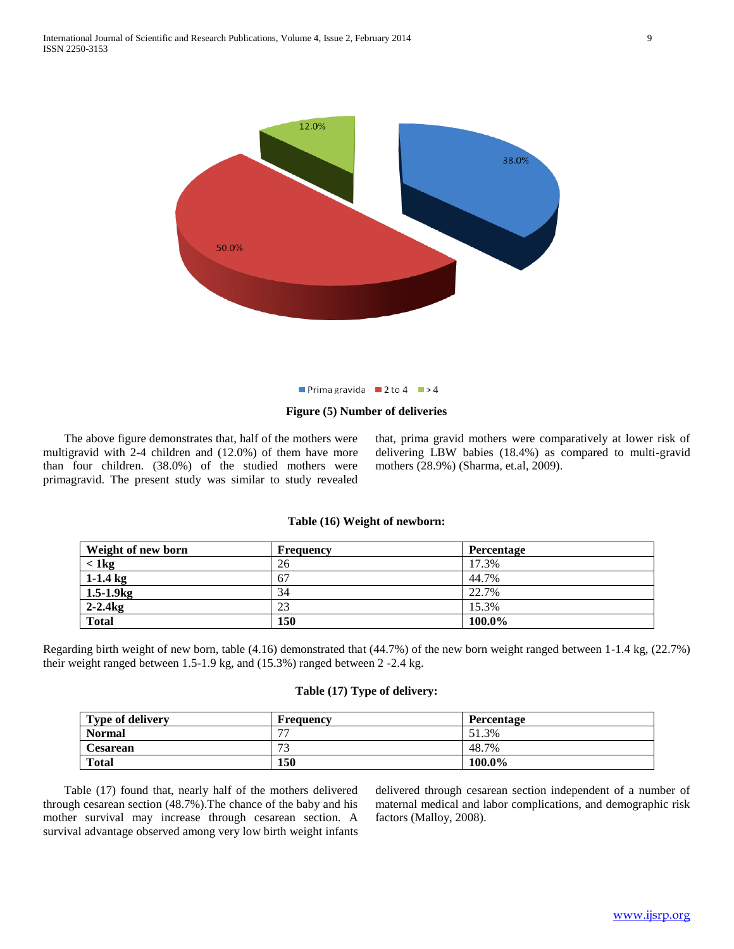

Prima gravida 2 to 4  $\blacktriangleright$  4

#### **Figure (5) Number of deliveries**

 The above figure demonstrates that, half of the mothers were multigravid with 2-4 children and (12.0%) of them have more than four children. (38.0%) of the studied mothers were primagravid. The present study was similar to study revealed

that, prima gravid mothers were comparatively at lower risk of delivering LBW babies (18.4%) as compared to multi-gravid mothers (28.9%) (Sharma*,* et.al, 2009).

#### **Table (16) Weight of newborn:**

| Weight of new born | <b>Frequency</b> | Percentage |
|--------------------|------------------|------------|
| $<$ 1 kg           | 26               | 17.3%      |
| $1-1.4$ kg         | 67               | 44.7%      |
| $1.5 - 1.9$ kg     | 34               | 22.7%      |
| $2-2.4$ kg         | 23               | 15.3%      |
| <b>Total</b>       | 150              | 100.0%     |

Regarding birth weight of new born, table (4.16) demonstrated that (44.7%) of the new born weight ranged between 1-1.4 kg, (22.7%) their weight ranged between 1.5-1.9 kg, and (15.3%) ranged between 2 -2.4 kg.

# **Table (17) Type of delivery:**

| <b>Type of delivery</b> | <b>Frequency</b>         | Percentage |
|-------------------------|--------------------------|------------|
| <b>Normal</b>           | $\overline{\phantom{a}}$ | 51.3%      |
| Cesarean                | 72<br>◡                  | 48.7%      |
| <b>Total</b>            | 150                      | 100.0%     |

 Table (17) found that, nearly half of the mothers delivered through cesarean section (48.7%).The chance of the baby and his mother survival may increase through cesarean section. A survival advantage observed among very low birth weight infants delivered through cesarean section independent of a number of maternal medical and labor complications, and demographic risk factors (Malloy, 2008).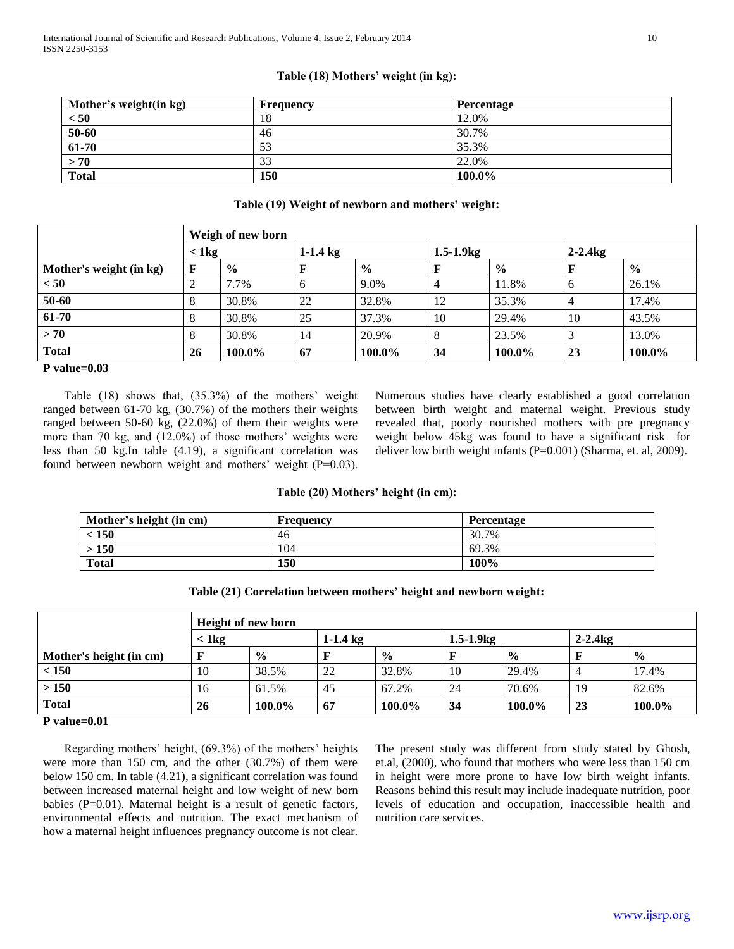# **Table (18) Mothers' weight (in kg):**

| Mother's weight(in kg) | <b>Frequency</b> | <b>Percentage</b> |
|------------------------|------------------|-------------------|
| < 50                   | 18               | 12.0%             |
| 50-60                  | 46               | 30.7%             |
| 61-70                  | 53               | 35.3%             |
| > 70                   | 33               | 22.0%             |
| <b>Total</b>           | 150              | 100.0%            |

### **Table (19) Weight of newborn and mothers' weight:**

|                         |          | Weigh of new born |            |               |    |                |    |               |  |  |
|-------------------------|----------|-------------------|------------|---------------|----|----------------|----|---------------|--|--|
|                         | $< 1$ kg |                   | $1-1.4$ kg |               |    | $1.5 - 1.9$ kg |    |               |  |  |
| Mother's weight (in kg) | F        | $\frac{6}{9}$     |            | $\frac{0}{0}$ |    | $\frac{0}{0}$  |    | $\frac{6}{6}$ |  |  |
| < 50                    |          | 7.7%              | 6          | 9.0%          | 4  | 11.8%          | 6  | 26.1%         |  |  |
| 50-60                   |          | 30.8%             | 22         | 32.8%         | 12 | 35.3%          | 4  | 17.4%         |  |  |
| 61-70                   |          | 30.8%             | 25         | 37.3%         | 10 | 29.4%          | 10 | 43.5%         |  |  |
| > 70                    |          | 30.8%             | 14         | 20.9%         | 8  | 23.5%          |    | 13.0%         |  |  |
| <b>Total</b>            | 26       | 100.0%            | 67         | 100.0%        | 34 | 100.0%         | 23 | 100.0%        |  |  |

# **P value=0.03**

 Table (18) shows that, (35.3%) of the mothers' weight ranged between 61-70 kg, (30.7%) of the mothers their weights ranged between 50-60 kg, (22.0%) of them their weights were more than 70 kg, and (12.0%) of those mothers' weights were less than 50 kg.In table (4.19), a significant correlation was found between newborn weight and mothers' weight (P=0.03). Numerous studies have clearly established a good correlation between birth weight and maternal weight. Previous study revealed that, poorly nourished mothers with pre pregnancy weight below 45kg was found to have a significant risk for deliver low birth weight infants (P=0.001) (Sharma, et. al, 2009).

### **Table (20) Mothers' height (in cm):**

| Mother's height (in cm) | <b>Frequency</b> | Percentage |
|-------------------------|------------------|------------|
| < 150                   | 46               | 30.7%      |
| > 150                   | 104              | 69.3%      |
| <b>Total</b>            | 150              | 100%       |

**Table (21) Correlation between mothers' height and newborn weight:**

|                         | <b>Height of new born</b> |               |            |               |             |               |           |               |  |
|-------------------------|---------------------------|---------------|------------|---------------|-------------|---------------|-----------|---------------|--|
|                         | $<$ 1 kg                  |               | $1-1.4$ kg |               | $1.5 - 1.9$ |               | $2-2.4kg$ |               |  |
| Mother's height (in cm) | F                         | $\frac{0}{0}$ |            | $\frac{6}{9}$ |             | $\frac{0}{0}$ |           | $\frac{0}{0}$ |  |
| < 150                   | 10                        | 38.5%         | 22         | 32.8%         | 10          | 29.4%         | 4         | 17.4%         |  |
| > 150                   | 16                        | 61.5%         | 45         | 67.2%         | 24          | 70.6%         | 19        | 82.6%         |  |
| <b>Total</b>            | 26                        | 100.0%        | 67         | 100.0%        | 34          | 100.0%        | 23        | 100.0%        |  |

#### **P value=0.01**

 Regarding mothers' height, (69.3%) of the mothers' heights were more than 150 cm, and the other (30.7%) of them were below 150 cm. In table (4.21), a significant correlation was found between increased maternal height and low weight of new born babies (P=0.01). Maternal height is a result of genetic factors, environmental effects and nutrition. The exact mechanism of how a maternal height influences pregnancy outcome is not clear.

The present study was different from study stated by Ghosh, et.al, (2000), who found that mothers who were less than 150 cm in height were more prone to have low birth weight infants. Reasons behind this result may include inadequate nutrition, poor levels of education and occupation, inaccessible health and nutrition care services.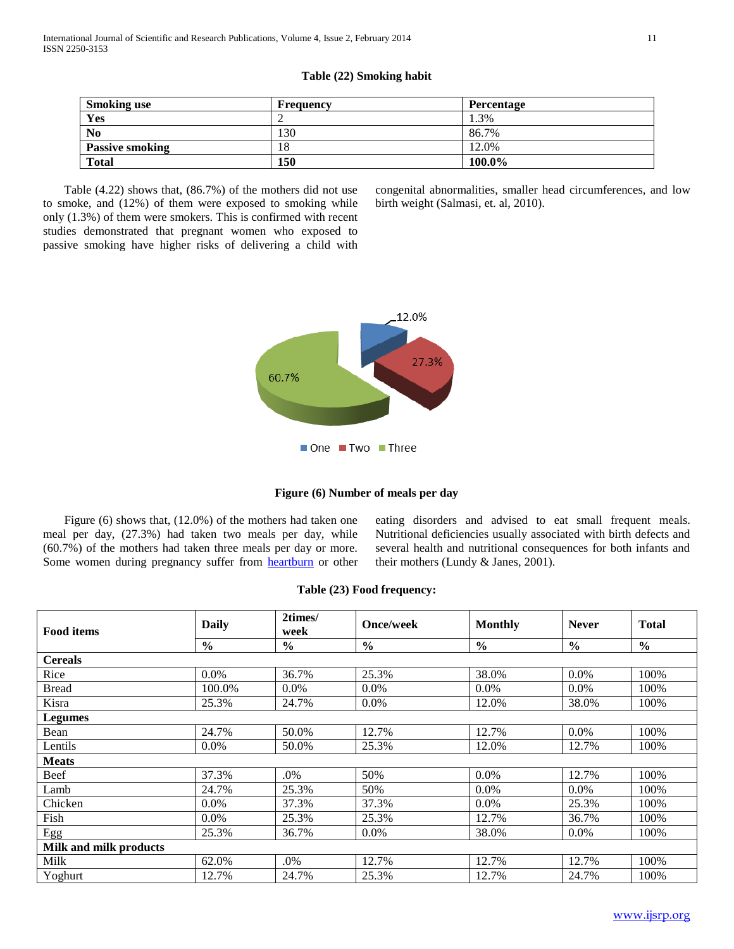|  |  | Table (22) Smoking habit |  |
|--|--|--------------------------|--|
|--|--|--------------------------|--|

| <b>Smoking use</b>     | <b>Frequency</b> | Percentage |
|------------------------|------------------|------------|
| Yes                    |                  | 1.3%       |
| N <sub>o</sub>         | 130              | 86.7%      |
| <b>Passive smoking</b> | l8               | 12.0%      |
| <b>Total</b>           | 150              | 100.0%     |

 Table (4.22) shows that, (86.7%) of the mothers did not use to smoke, and (12%) of them were exposed to smoking while only (1.3%) of them were smokers. This is confirmed with recent studies demonstrated that pregnant women who exposed to passive smoking have higher risks of delivering a child with

congenital abnormalities, smaller head circumferences, and low birth weight (Salmasi, et. al, 2010).





 Figure (6) shows that, (12.0%) of the mothers had taken one meal per day, (27.3%) had taken two meals per day, while (60.7%) of the mothers had taken three meals per day or more. Some women during pregnancy suffer from [heartburn](http://www.babycenter.com.au/pregnancy/antenatalhealth/physicalhealth/heartburn/) or other eating disorders and advised to eat small frequent meals. Nutritional deficiencies usually associated with birth defects and several health and nutritional consequences for both infants and their mothers (Lundy & Janes, 2001).

| <b>Food items</b>             | <b>Daily</b>  | 2times/<br>week | <b>Once/week</b> | <b>Monthly</b> | <b>Never</b>  | <b>Total</b>  |
|-------------------------------|---------------|-----------------|------------------|----------------|---------------|---------------|
|                               | $\frac{6}{9}$ | $\frac{6}{9}$   | $\frac{6}{6}$    | $\frac{0}{0}$  | $\frac{0}{0}$ | $\frac{0}{0}$ |
| <b>Cereals</b>                |               |                 |                  |                |               |               |
| Rice                          | $0.0\%$       | 36.7%           | 25.3%            | 38.0%          | 0.0%          | 100%          |
| <b>Bread</b>                  | 100.0%        | $0.0\%$         | $0.0\%$          | $0.0\%$        | $0.0\%$       | 100%          |
| Kisra                         | 25.3%         | 24.7%           | $0.0\%$          | 12.0%          | 38.0%         | 100%          |
| <b>Legumes</b>                |               |                 |                  |                |               |               |
| Bean                          | 24.7%         | 50.0%           | 12.7%            | 12.7%          | 0.0%          | 100%          |
| Lentils                       | $0.0\%$       | 50.0%           | 25.3%            | 12.0%          | 12.7%         | 100%          |
| <b>Meats</b>                  |               |                 |                  |                |               |               |
| Beef                          | 37.3%         | .0%             | 50%              | 0.0%           | 12.7%         | 100%          |
| Lamb                          | 24.7%         | 25.3%           | 50%              | $0.0\%$        | $0.0\%$       | 100%          |
| Chicken                       | 0.0%          | 37.3%           | 37.3%            | $0.0\%$        | 25.3%         | 100%          |
| Fish                          | 0.0%          | 25.3%           | 25.3%            | 12.7%          | 36.7%         | 100%          |
| Egg                           | 25.3%         | 36.7%           | $0.0\%$          | 38.0%          | $0.0\%$       | 100%          |
| <b>Milk and milk products</b> |               |                 |                  |                |               |               |
| Milk                          | 62.0%         | .0%             | 12.7%            | 12.7%          | 12.7%         | 100%          |
| Yoghurt                       | 12.7%         | 24.7%           | 25.3%            | 12.7%          | 24.7%         | 100%          |

#### **Table (23) Food frequency:**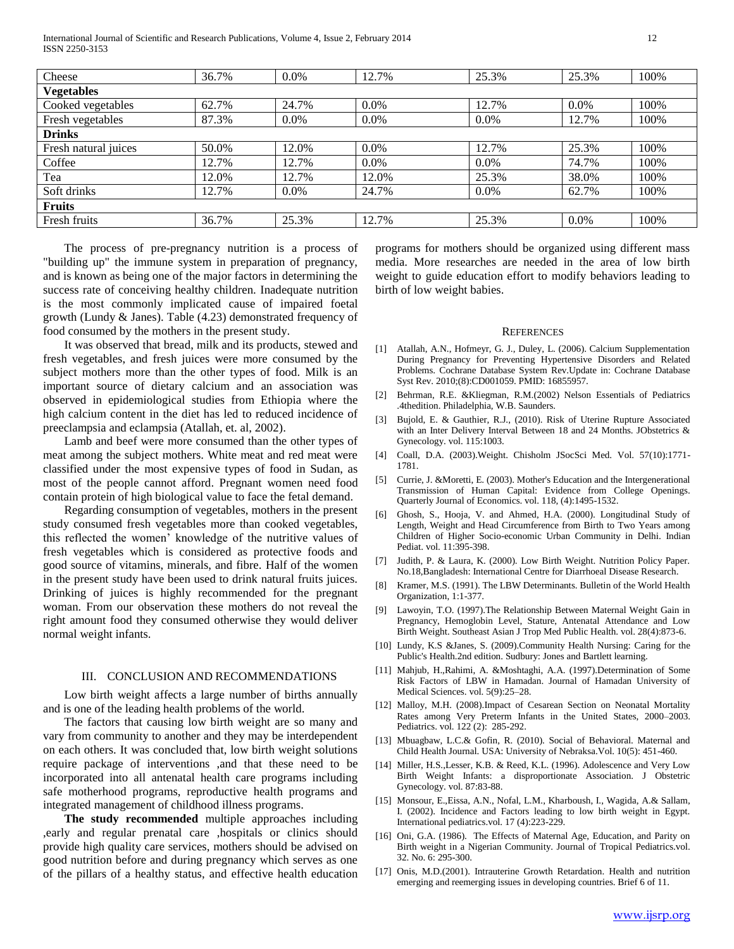International Journal of Scientific and Research Publications, Volume 4, Issue 2, February 2014 12 ISSN 2250-3153

| Cheese               | 36.7% | $0.0\%$ | 12.7%   | 25.3%   | 25.3%   | 100% |
|----------------------|-------|---------|---------|---------|---------|------|
| <b>Vegetables</b>    |       |         |         |         |         |      |
| Cooked vegetables    | 62.7% | 24.7%   | 0.0%    | 12.7%   | 0.0%    | 100% |
| Fresh vegetables     | 87.3% | $0.0\%$ | $0.0\%$ | $0.0\%$ | 12.7%   | 100% |
| <b>Drinks</b>        |       |         |         |         |         |      |
| Fresh natural juices | 50.0% | 12.0%   | 0.0%    | 12.7%   | 25.3%   | 100% |
| Coffee               | 12.7% | 12.7%   | $0.0\%$ | $0.0\%$ | 74.7%   | 100% |
| Tea                  | 12.0% | 12.7%   | 12.0%   | 25.3%   | 38.0%   | 100% |
| Soft drinks          | 12.7% | $0.0\%$ | 24.7%   | $0.0\%$ | 62.7%   | 100% |
| <b>Fruits</b>        |       |         |         |         |         |      |
| Fresh fruits         | 36.7% | 25.3%   | 12.7%   | 25.3%   | $0.0\%$ | 100% |

 The process of pre-pregnancy nutrition is a process of "building up" the immune system in preparation of pregnancy, and is known as being one of the major factors in determining the success rate of conceiving healthy children. Inadequate nutrition is the most commonly implicated cause of impaired foetal growth (Lundy & Janes). Table (4.23) demonstrated frequency of food consumed by the mothers in the present study.

 It was observed that bread, milk and its products, stewed and fresh vegetables, and fresh juices were more consumed by the subject mothers more than the other types of food. Milk is an important source of dietary calcium and an association was observed in epidemiological studies from Ethiopia where the high calcium content in the diet has led to reduced incidence of preeclampsia and eclampsia (Atallah, et. al, 2002).

 Lamb and beef were more consumed than the other types of meat among the subject mothers. White meat and red meat were classified under the most expensive types of food in Sudan, as most of the people cannot afford. Pregnant women need food contain protein of high biological value to face the fetal demand.

 Regarding consumption of vegetables, mothers in the present study consumed fresh vegetables more than cooked vegetables, this reflected the women' knowledge of the nutritive values of fresh vegetables which is considered as protective foods and good source of vitamins, minerals, and fibre. Half of the women in the present study have been used to drink natural fruits juices. Drinking of juices is highly recommended for the pregnant woman. From our observation these mothers do not reveal the right amount food they consumed otherwise they would deliver normal weight infants.

#### III. CONCLUSION AND RECOMMENDATIONS

 Low birth weight affects a large number of births annually and is one of the leading health problems of the world.

 The factors that causing low birth weight are so many and vary from community to another and they may be interdependent on each others. It was concluded that, low birth weight solutions require package of interventions ,and that these need to be incorporated into all antenatal health care programs including safe motherhood programs, reproductive health programs and integrated management of childhood illness programs.

 **The study recommended** multiple approaches including ,early and regular prenatal care ,hospitals or clinics should provide high quality care services, mothers should be advised on good nutrition before and during pregnancy which serves as one of the pillars of a healthy status, and effective health education programs for mothers should be organized using different mass media. More researches are needed in the area of low birth weight to guide education effort to modify behaviors leading to birth of low weight babies.

#### **REFERENCES**

- [1] Atallah, A.N., Hofmeyr, G. J., Duley, L. (2006). Calcium Supplementation During Pregnancy for Preventing Hypertensive Disorders and Related Problems. Cochrane Database System Rev.Update in: Cochrane Database Syst Rev. 2010;(8):CD001059. PMID: 16855957.
- [2] Behrman, R.E. &Kliegman, R.M.(2002) Nelson Essentials of Pediatrics .4thedition. Philadelphia, W.B. Saunders.
- [3] Bujold, E. & Gauthier, R.J., (2010). Risk of Uterine Rupture Associated with an Inter Delivery Interval Between 18 and 24 Months. JObstetrics & Gynecology. vol. 115:1003.
- [4] Coall, D.A. (2003).Weight. Chisholm JSocSci Med. Vol. 57(10):1771- 1781.
- [5] Currie, J. &Moretti, E. (2003). Mother's Education and the Intergenerational Transmission of Human Capital: Evidence from College Openings. Quarterly Journal of Economics. vol. 118, (4):1495-1532.
- [6] Ghosh, S., Hooja, V. and Ahmed, H.A. (2000). Longitudinal Study of Length, Weight and Head Circumference from Birth to Two Years among Children of Higher Socio-economic Urban Community in Delhi. Indian Pediat. vol. 11:395-398.
- [7] Judith, P. & Laura, K. (2000). Low Birth Weight. Nutrition Policy Paper. No.18,Bangladesh: International Centre for Diarrhoeal Disease Research.
- [8] Kramer, M.S. (1991). The LBW Determinants. Bulletin of the World Health Organization, 1:1-377.
- [9] Lawoyin, T.O. (1997).The Relationship Between Maternal Weight Gain in Pregnancy, Hemoglobin Level, Stature, Antenatal Attendance and Low Birth Weight. Southeast Asian J Trop Med Public Health. vol. 28(4):873-6.
- [10] Lundy, K.S &Janes, S. (2009). Community Health Nursing: Caring for the Public's Health.2nd edition. Sudbury: Jones and Bartlett learning.
- [11] Mahjub, H.,Rahimi, A. &Moshtaghi, A.A. (1997).Determination of Some Risk Factors of LBW in Hamadan. Journal of Hamadan University of Medical Sciences. vol. 5(9):25–28.
- [12] Malloy, M.H. (2008).Impact of Cesarean Section on Neonatal Mortality Rates among Very Preterm Infants in the United States, 2000–2003. Pediatrics. vol. 122 (2): 285-292.
- [13] Mbuagbaw, L.C.& Gofin, R. (2010). Social of Behavioral. Maternal and Child Health Journal. USA: University of Nebraksa.Vol. 10(5): 451-460.
- [14] Miller, H.S., Lesser, K.B. & Reed, K.L. (1996). Adolescence and Very Low Birth Weight Infants: a disproportionate Association. J Obstetric Gynecology. vol. 87:83-88.
- [15] Monsour, E.,Eissa, A.N., Nofal, L.M., Kharboush, I., Wagida, A.& Sallam, I. (2002). Incidence and Factors leading to low birth weight in Egypt. International pediatrics.vol. 17 (4):223-229.
- [16] Oni, G.A. (1986). The Effects of Maternal Age, Education, and Parity on Birth weight in a Nigerian Community. Journal of Tropical Pediatrics.vol. 32. No. 6: 295-300.
- [17] Onis, M.D.(2001). Intrauterine Growth Retardation. Health and nutrition emerging and reemerging issues in developing countries. Brief 6 of 11.